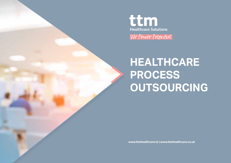

**HEALTHCARE PROCESS OUTSOURCING**

**www.ttmhealthcare.ie | www.ttmhealthcare.co.uk**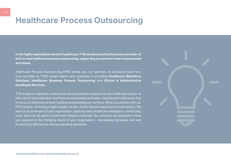## **Healthcare Process Outsourcing**

**In the highly specialised world of healthcare, TTM stands proud as the proven provider of end-to-end healthcare process outsourcing, supporting our partners internal processes and teams.** 

Healthcare Process Outsourcing (HPO) allows you, our partners, to outsource your noncore activities to TTM's expert teams who specialise in providing **Healthcare Workforce Solutions**, **Healthcare Business Process Outsourcing** and **Clinical & Administrative Healthcare Services.**

TTM bring our expertise, experience and extraordinary passion for the healthcare sector, to take care of essential back- and front-end processes and tasks – leaving teams like yours free to focus on what they do best: building and growing your services. When you partner with our HPO division, we bring an agile, insights driven, results focused approach to each project. We work as an extension of your organisation, applying deep healthcare intelligence, world class tools, and over 20 years of extensive industry expertise. Our solutions are designed to help you respond to the changing needs of your organisation – harnessing increased cost and productivity efficiencies and accelerating outcomes.

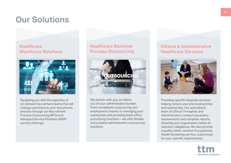## **Our Solutions**

### **Healthcare Workforce Solutions**



Equipping you with the expertise of on-demand recruitment teams that will manage and improve your recruitment process through our Recruitment Process Outsourcing (RPO) and Managed Service Provision (MSP) service offerings.

### **Healthcare Business Process Outsourcing**



We partner with you, to relieve you of your administrative burden. From compliance outsourcing, preemployment checks, to managing your waiting lists and providing back-office processing functions – we offer flexible and scalable administrative outsourcing solutions.

### **Clinical & Administrative Healthcare Services**



Providing specific bespoke services helping reduce your processing times and waiting lists. Our specialised team of Clinical Therapists and Administrators conduct necessary assessments and complete reports, ensuring your organisation meets all statutory obligations. We also provide a quality client- centred Occupational Health Screening service, customised for your specific requirements.

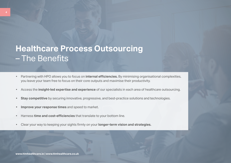## **Healthcare Process Outsourcing**  – The Benefits

- Partnering with HPO allows you to focus on **internal efficiencies.** By minimising organisational complexities, you leave your team free to focus on their core outputs and maximise their productivity.
- Access the **insight-led expertise and experience** of our specialists in each area of healthcare outsourcing.
- **Stay competitive** by securing innovative, progressive, and best-practice solutions and technologies.
- **• Improve your response times** and speed to market.
- Harness **time and cost-efficiencies** that translate to your bottom line.
- Clear your way to keeping your sights firmly on your **longer-term vision and strategies.**

**www.ttmhealthcare.ie | www.ttmhealthcare.co.uk**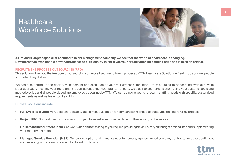### **Healthcare** Workforce Solutions



**As Ireland's largest specialist healthcare talent management company, we see that the world of healthcare is changing. Now more than ever, people power and access to high-quality talent gives your organisation its defining edge and is mission critical.** 

### **RECRUITMENT PROCESS OUTSOURCING (RPO)**

This solution gives you the freedom of outsourcing some or all your recruitment process to TTM Healthcare Solutions – freeing up your key people to do what they do best.

We can take control of the design, management and execution of your recruitment campaigns – from sourcing to onboarding, with our 'white label' approach, meaning your recruitment is carried out under your brand, not ours. We slot into your organisation, using your systems, tools and methodologies and all people placed are employed by you, not by TTM. We can combine your short-term staffing needs with specific, customised requirements as well as larger turnkey hiring.

### **Our RPO solutions include:**

- **• Full Cycle Recruitment:** A bespoke, scalable, and continuous option for companies that need to outsource the entire hiring process
- **• Project RPO:** Support clients on a specific project basis with deadlines in place for the delivery of the service
- **• On Demand Recruitment Team:** Can work when and for as long as you require, providing flexibility for your budget or deadlines and supplementing your recruitment team
- **• Managed Service Provision (MSP):** Our service option that manages your temporary, agency, limited company contractor or other contingent staff needs, giving access to skilled, top talent on demand

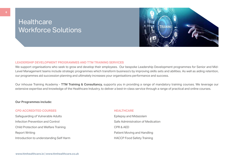### **Healthcare** Workforce Solutions



#### **LEADERSHIP DEVELOPMENT PROGRAMMES AND TTM TRAINING SERVICES**

We support organisations who seek to grow and develop their employees. Our bespoke Leadership Development programmes for Senior and Mid-Level Management teams include strategic programmes which transform business's by improving skills sets and abilities. As well as aiding retention, our programmes aid succession planning and ultimately increases your organisations performance and success.

Our inhouse Training Academy - **TTM Training & Consultancy,** supports you in providing a range of mandatory training courses. We leverage our extensive expertise and knowledge of the Healthcare Industry, to deliver a best-in-class service through a range of practical and online courses.

#### **Our Programmes include:**

#### **CPD ACCREDITED COURSES AND LOCAL COURSES AND LOCAL COURSES AND LOCAL COUNTING AREA LIMITED COURSES**

Safeguarding of Vulnerable Adults **Epilepsy and Midazolam** Infection Prevention and Control Safe Administration of Medication Child Protection and Welfare Training CPR & AED Report Writing **Patient Moving and Handling** Introduction to understanding Self Harm **HACCP** Food Safety Training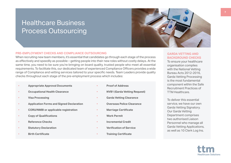### Healthcare Business Process Outsourcing



#### **PRE-EMPLOYMENT CHECKS AND COMPLIANCE OUTSOURCING**

When recruiting new team members, it's essential that candidates go through each stage of the process as effectively and speedily as possible – getting people into their new roles without costly delays. At the same time, you need to be sure you're bringing on board quality, trusted people who meet all essential requirements. To facilitate this, our dedicated team of experienced Compliance Officers provides a wide range of Compliance and vetting services tailored to your specific needs. Team Leaders provide quality checks throughout each stage of the pre-employment process which includes:

- **• Appropriate Approval Documents**
- **• Occupational Health Clearance**
- **• Visa Processing**
- **• Application Forms and Signed Declaration**
- **• CORU/NMBI or applicable registration**
- **• Copy of Qualifications**
- **• Reference Checks**
- **• Statutory Declaration**
- **• Birth Certificate**
- **• Proof of Address**
- **• NVB1 (Garda Vetting Request)**
- **• Garda Vetting Clearance**
	- **• Overseas Police Clearance**
- **• Marriage Certificate**
- **• Work Permit**
- **• Incremental Credit**
- **• Verification of Service**
- **• Training Certificate**

### **GARDA VETTING AND BACKGROUND CHECKS**

To ensure your healthcare organisation complies with the National Vetting Bureau Acts 2012-2016, Garda Vetting Processing is the most fundamental component within the Safe Recruitment Practices of TTM Healthcare.

To deliver this essential service, we have our own Garda Vetting Signatory. Our Garda Vetting Department comprises two authorised Liaison Personnel who manage all Garda Vetting Applications, as well as 10 Clerk Log Ins.

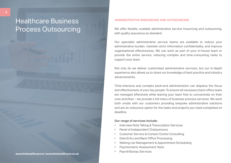### Healthcare Business Process Outsourcing

#### **ADMINISTRATIVE INSOURCING AND OUTSOURCING**

We offer flexible, scalable administrative service insourcing and outsourcing, with quality assurance as standard.

Our specialist administrative service teams are available to reduce your administrative burden, maintain strict information confidentiality, and improve organisational effectiveness. We can work as part of your in-house team or provide the entire service, reducing complex and time-consuming tasks to support your team.

Not only do we deliver customised administrative services, but our in-depth experience also allows us to share our knowledge of best practice and industry advancements.

Time-intensive and complex back-end administration can displace the focus and effectiveness of your key people. To ensure all necessary back-office tasks are managed effectively while leaving your team free to concentrate on their core activities – we provide a full menu of business process services. We work both onsite with our customers providing bespoke administrative solutions and are an outsource option for the tasks and projects you need completed on deadline.

#### **Our range of services include:**

- Interview Note Taking & Transcription Services
- Panel of Independent Chairpersons
- Customer Service & Contact Centre Consulting
- Data Entry and Back Office Processing
- Waiting List Management & Appointment Scheduling
- Psychometric Assessment Tests
-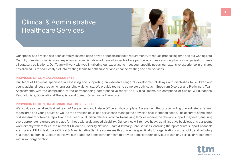### Clinical & Administrative Healthcare Services



Our specialised division has been carefully assembled to provide specific bespoke requirements, to reduce processing time and cut waiting lists. Our fully compliant clinicians and experienced administrators address all aspects of any particular process ensuring that your organisation meets all statutory obligations. Our Team will work with you in tailoring our expertise to meet your specific needs, our extensive experience in this area has allowed us to seamlessly slot into existing teams to both support and enhance existing and new services.

#### **PROVISION OF CLINICAL ASSESSMENTS**

Our team of Clinicians specialise in assessing and supporting an extensive range of developmental delays and disabilities for children and young adults, directly reducing long standing waiting lists. We provide teams to complete both Autism Spectrum Disorder and Preliminary Team Assessments with the compilation of the corresponding comprehensive report. Our Clinical Teams are comprised of Clinical & Educational Psychologists, Occupational Therapists and Speech & Language Therapists.

### **PROVISION OF CLINICAL ADMINISTRATION SERVICES**

We provide a specialised trained team of Assessment and Liaison Officers, who complete Assessment Reports (including onward referral letters) for children and young adults as well as the provision of Liaison services to manage the provision of all identified needs. The accurate completion of Assessment of Needs Reports and the role of our Liaison officers is critical to ensuring families receive the relevant support they need, ensuring that appropriate referrals are in place for those with a diagnosed disability . Our service will remove heavy administrative back logs and our teams work directly with families, the relevant Children's Disability Network Team & Primary Care Services, ensuring the appropriate support channels are in place. TTM's Healthcare Clinical & Administrative Service addresses this challenge specifically for organisations in the public and voluntary healthcare sector. In Addition to this we can adapt our administration team to provide administration services to suit any particular requirement within your organisation.

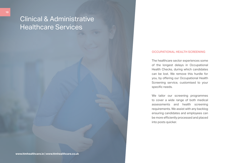### Clinical & Administrative Healthcare Services

#### **OCCUPATIONAL HEALTH SCREENING**

The healthcare sector experiences some of the longest delays in Occupational Health Checks, during which candidates can be lost. We remove this hurdle for you, by offering our Occupational Health Screening service, customised to your specific needs.

We tailor our screening programmes to cover a wide range of both medical assessments and health screening requirements. We assist with any backlog ensuring candidates and employees can be more efficiently processed and placed into posts quicker.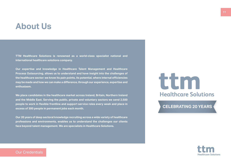### **About Us**

**TTM Healthcare Solutions is renowned as a world-class specialist national and international healthcare solutions company.** 

**Our expertise and knowledge in Healthcare Talent Management and Healthcare Process Outsourcing, allows us to understand and have insight into the challenges of the healthcare sector: we know its pain points, its potential, where internal efficiencies may be made and how we can make a difference, through our experience, expertise and enthusiasm.**

**We place candidates in the healthcare market across Ireland, Britain, Northern Ireland and the Middle East. Serving the public, private and voluntary sectors we send 2,500 people to work in flexible frontline and support service roles every week and place in excess of 300 people in permanent jobs each month.** 

**Our 20 years of deep sectoral knowledge recruiting across a wide variety of healthcare professions and environments, enables us to understand the challenges our clients face beyond talent management. We are specialists in Healthcare Solutions.** 

# ttm **Healthcare Solutions**

### **CELEBRATING 20 YEARS**



Our Credentials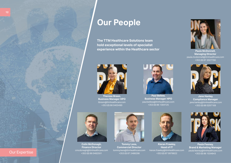

**Paul Bellew, Business Manager HPO** paul.bellew@ttmhealthcare.com +353 (0) 86 1304725



**Paula McDonnell, Managing Director** paula.mcdonnell@ttmhealthcare.com +353 (0) 87 2027760



**Jane Hanley, Compliance Manager** jane.hanley@ttmhealthcare.com +353 (0) 86 0297169



**Colin McDonagh, Finance Director** cmcdonagh@ttmhealthcare.com +353 (0) 86 0482591



**Tommy Lees, Commercial Director** tommy.lees@ttmhealthcare.com +353 (0) 87 2488298



**Kieran Frawley, Head of IT** kieran.frawley@ttmhealthcare.com +353 (0) 87 9978822



**Paula Feeney, Brand & Marketing Manager** paula.feeney@ttmhealthcare.com +353 (0) 86 1034843

### Our Expertise